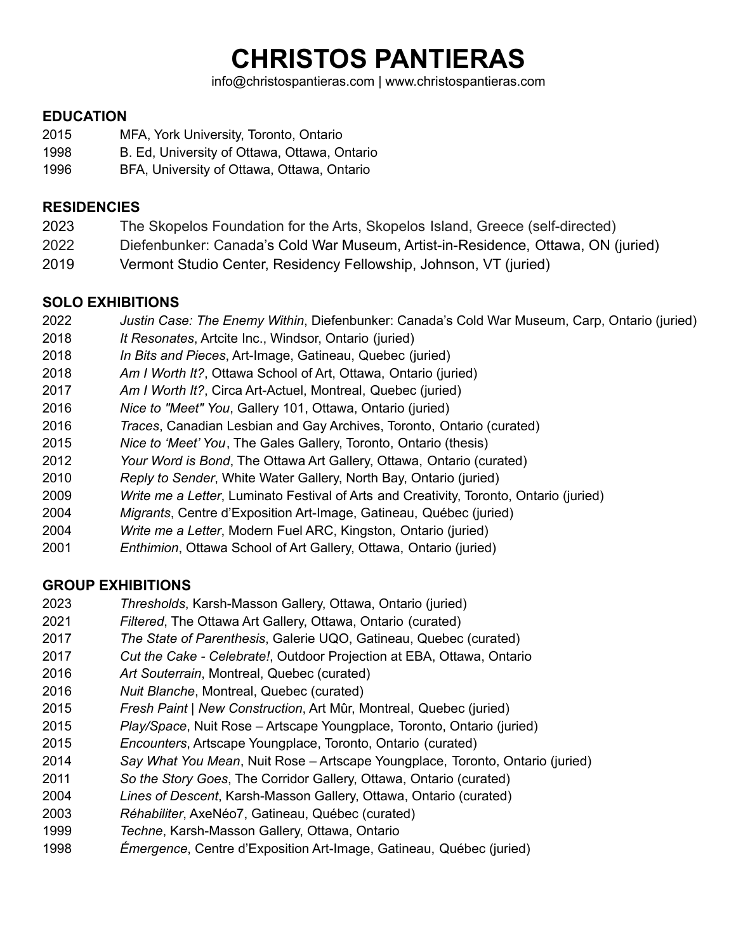# **CHRISTOS PANTIERAS**

info@christospantieras.com | www.christospantieras.com

## **EDUCATION**

- MFA, York University, Toronto, Ontario
- B. Ed, University of Ottawa, Ottawa, Ontario
- BFA, University of Ottawa, Ottawa, Ontario

#### **RESIDENCIES**

- The Skopelos Foundation for the Arts, Skopelos Island, Greece (self-directed)
- Diefenbunker: Canada's Cold War Museum, Artist-in-Residence, Ottawa, ON (juried)
- Vermont Studio Center, Residency Fellowship, Johnson, VT (juried)

## **SOLO EXHIBITIONS**

- *Justin Case: The Enemy Within*, Diefenbunker: Canada's Cold War Museum, Carp, Ontario (juried)
- *It Resonates*, Artcite Inc., Windsor, Ontario (juried)
- *In Bits and Pieces*, Art-Image, Gatineau, Quebec (juried)
- *Am I Worth It?*, Ottawa School of Art, Ottawa, Ontario (juried)
- *Am I Worth It?*, Circa Art-Actuel, Montreal, Quebec (juried)
- *Nice to "Meet" You*, Gallery 101, Ottawa, Ontario (juried)
- *Traces*, Canadian Lesbian and Gay Archives, Toronto, Ontario (curated)
- *Nice to 'Meet' You*, The Gales Gallery, Toronto, Ontario (thesis)
- *Your Word is Bond*, The Ottawa Art Gallery, Ottawa, Ontario (curated)
- *Reply to Sender*, White Water Gallery, North Bay, Ontario (juried)
- *Write me a Letter*, Luminato Festival of Arts and Creativity, Toronto, Ontario (juried)
- *Migrants*, Centre d'Exposition Art-Image, Gatineau, Québec (juried)
- *Write me a Letter*, Modern Fuel ARC, Kingston, Ontario (juried)
- *Enthimion*, Ottawa School of Art Gallery, Ottawa, Ontario (juried)

## **GROUP EXHIBITIONS**

- *Thresholds*, Karsh-Masson Gallery, Ottawa, Ontario (juried)
- *Filtered*, The Ottawa Art Gallery, Ottawa, Ontario (curated)
- *The State of Parenthesis*, Galerie UQO, Gatineau, Quebec (curated)
- *Cut the Cake - Celebrate!*, Outdoor Projection at EBA, Ottawa, Ontario
- *Art Souterrain*, Montreal, Quebec (curated)
- *Nuit Blanche*, Montreal, Quebec (curated)
- *Fresh Paint | New Construction*, Art Mûr, Montreal, Quebec (juried)
- *Play/Space*, Nuit Rose Artscape Youngplace, Toronto, Ontario (juried)
- *Encounters*, Artscape Youngplace, Toronto, Ontario (curated)
- *Say What You Mean*, Nuit Rose Artscape Youngplace, Toronto, Ontario (juried)
- *So the Story Goes*, The Corridor Gallery, Ottawa, Ontario (curated)
- *Lines of Descent*, Karsh-Masson Gallery, Ottawa, Ontario (curated)
- *Réhabiliter*, AxeNéo7, Gatineau, Québec (curated)
- *Techne*, Karsh-Masson Gallery, Ottawa, Ontario
- *Émergence*, Centre d'Exposition Art-Image, Gatineau, Québec (juried)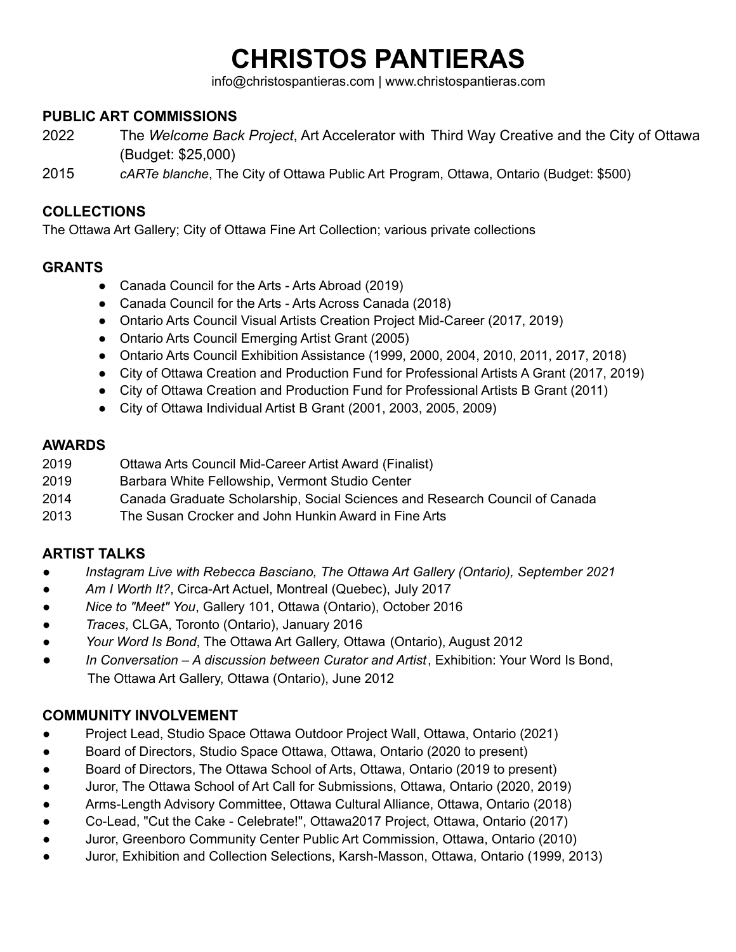# **CHRISTOS PANTIERAS**

info@christospantieras.com | www.christospantieras.com

#### **PUBLIC ART COMMISSIONS**

- 2022 The *Welcome Back Project*, Art Accelerator with Third Way Creative and the City of Ottawa (Budget: \$25,000)
- 2015 *cARTe blanche*, The City of Ottawa Public Art Program, Ottawa, Ontario (Budget: \$500)

#### **COLLECTIONS**

The Ottawa Art Gallery; City of Ottawa Fine Art Collection; various private collections

# **GRANTS**

- Canada Council for the Arts Arts Abroad (2019)
- Canada Council for the Arts Arts Across Canada (2018)
- Ontario Arts Council Visual Artists Creation Project Mid-Career (2017, 2019)
- Ontario Arts Council Emerging Artist Grant (2005)
- Ontario Arts Council Exhibition Assistance (1999, 2000, 2004, 2010, 2011, 2017, 2018)
- City of Ottawa Creation and Production Fund for Professional Artists A Grant (2017, 2019)
- City of Ottawa Creation and Production Fund for Professional Artists B Grant (2011)
- City of Ottawa Individual Artist B Grant (2001, 2003, 2005, 2009)

## **AWARDS**

- 2019 Ottawa Arts Council Mid-Career Artist Award (Finalist)
- 2019 Barbara White Fellowship, Vermont Studio Center
- 2014 Canada Graduate Scholarship, Social Sciences and Research Council of Canada
- 2013 The Susan Crocker and John Hunkin Award in Fine Arts

# **ARTIST TALKS**

- *Instagram Live with Rebecca Basciano, The Ottawa Art Gallery (Ontario), September 2021*
- *Am I Worth It?*, Circa-Art Actuel, Montreal (Quebec), July 2017
- *Nice to "Meet" You*, Gallery 101, Ottawa (Ontario), October 2016
- *Traces*, CLGA, Toronto (Ontario), January 2016
- *Your Word Is Bond*, The Ottawa Art Gallery, Ottawa (Ontario), August 2012
- *In Conversation – A discussion between Curator and Artist*, Exhibition: Your Word Is Bond, The Ottawa Art Gallery, Ottawa (Ontario), June 2012

## **COMMUNITY INVOLVEMENT**

- Project Lead, Studio Space Ottawa Outdoor Project Wall, Ottawa, Ontario (2021)
- Board of Directors, Studio Space Ottawa, Ottawa, Ontario (2020 to present)
- Board of Directors, The Ottawa School of Arts, Ottawa, Ontario (2019 to present)
- Juror, The Ottawa School of Art Call for Submissions, Ottawa, Ontario (2020, 2019)
- Arms-Length Advisory Committee, Ottawa Cultural Alliance, Ottawa, Ontario (2018)
- Co-Lead, "Cut the Cake Celebrate!", Ottawa2017 Project, Ottawa, Ontario (2017)
- Juror, Greenboro Community Center Public Art Commission, Ottawa, Ontario (2010)
- Juror, Exhibition and Collection Selections, Karsh-Masson, Ottawa, Ontario (1999, 2013)